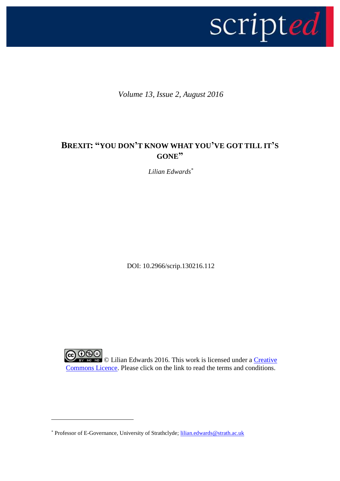

*Volume 13, Issue 2, August 2016*

## **BREXIT: "YOU DON'T KNOW WHAT YOU'VE GOT TILL IT'S GONE"**

*Lilian Edwards\**

DOI: 10.2966/scrip.130216.112

**CO DSO**<br>Example 10 Lilian Edwards 2016. This work is licensed under a Creative [Commons Licence.](http://creativecommons.org/licenses/by-nc-nd/2.5/scotland/) Please click on the link to read the terms and conditions.

1

<sup>\*</sup> Professor of E-Governance, University of Strathclyde; [lilian.edwards@strath.ac.uk](mailto:lilian.edwards@strath.ac.uk)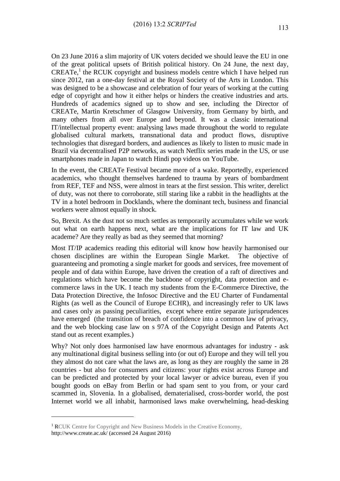On 23 June 2016 a slim majority of UK voters decided we should leave the EU in one of the great political upsets of British political history. On 24 June, the next day, CREATe, 1 the RCUK copyright and business models centre which I have helped run since 2012, ran a one-day festival at the Royal Society of the Arts in London. This was designed to be a showcase and celebration of four years of working at the cutting edge of copyright and how it either helps or hinders the creative industries and arts. Hundreds of academics signed up to show and see, including the Director of CREATe, Martin Kretschmer of Glasgow University, from Germany by birth, and many others from all over Europe and beyond. It was a classic international IT/intellectual property event: analysing laws made throughout the world to regulate globalised cultural markets, transnational data and product flows, disruptive technologies that disregard borders, and audiences as likely to listen to music made in Brazil via decentralised P2P networks, as watch Netflix series made in the US, or use smartphones made in Japan to watch Hindi pop videos on YouTube.

In the event, the CREATe Festival became more of a wake. Reportedly, experienced academics, who thought themselves hardened to trauma by years of bombardment from REF, TEF and NSS, were almost in tears at the first session. This writer, derelict of duty, was not there to corroborate, still staring like a rabbit in the headlights at the TV in a hotel bedroom in Docklands, where the dominant tech, business and financial workers were almost equally in shock.

So, Brexit. As the dust not so much settles as temporarily accumulates while we work out what on earth happens next, what are the implications for IT law and UK academe? Are they really as bad as they seemed that morning?

Most IT/IP academics reading this editorial will know how heavily harmonised our chosen disciplines are within the European Single Market. The objective of guaranteeing and promoting a single market for goods and services, free movement of people and of data within Europe, have driven the creation of a raft of directives and regulations which have become the backbone of copyright, data protection and ecommerce laws in the UK. I teach my students from the E-Commerce Directive, the Data Protection Directive, the Infosoc Directive and the EU Charter of Fundamental Rights (as well as the Council of Europe ECHR), and increasingly refer to UK laws and cases only as passing peculiarities, except where entire separate jurisprudences have emerged (the transition of breach of confidence into a common law of privacy, and the web blocking case law on s 97A of the Copyright Design and Patents Act stand out as recent examples.)

Why? Not only does harmonised law have enormous advantages for industry - ask any multinational digital business selling into (or out of) Europe and they will tell you they almost do not care what the laws are, as long as they are roughly the same in 28 countries - but also for consumers and citizens: your rights exist across Europe and can be predicted and protected by your local lawyer or advice bureau, even if you bought goods on eBay from Berlin or had spam sent to you from, or your card scammed in, Slovenia. In a globalised, dematerialised, cross-border world, the post Internet world we all inhabit, harmonised laws make overwhelming, head-desking

1

<sup>&</sup>lt;sup>1</sup> RCUK Centre for Copyright and New Business Models in the Creative Economy, http://www.create.ac.uk/ (accessed 24 August 2016)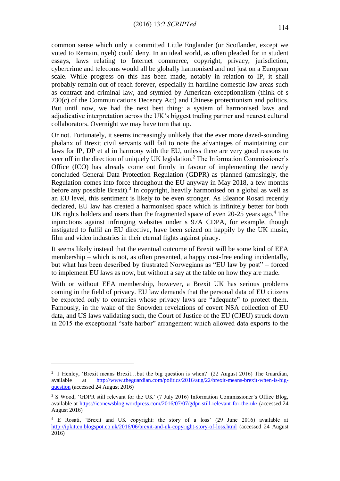common sense which only a committed Little Englander (or Scotlander, except we voted to Remain, nyeh) could deny. In an ideal world, as often pleaded for in student essays, laws relating to Internet commerce, copyright, privacy, jurisdiction, cybercrime and telecoms would all be globally harmonised and not just on a European scale. While progress on this has been made, notably in relation to IP, it shall probably remain out of reach forever, especially in hardline domestic law areas such as contract and criminal law, and stymied by American exceptionalism (think of s 230(c) of the Communications Decency Act) and Chinese protectionism and politics. But until now, we had the next best thing: a system of harmonised laws and adjudicative interpretation across the UK's biggest trading partner and nearest cultural collaborators. Overnight we may have torn that up.

Or not. Fortunately, it seems increasingly unlikely that the ever more dazed-sounding phalanx of Brexit civil servants will fail to note the advantages of maintaining our laws for IP, DP et al in harmony with the EU, unless there are very good reasons to veer off in the direction of uniquely UK legislation.<sup>2</sup> The Information Commissioner's Office (ICO) has already come out firmly in favour of implementing the newly concluded General Data Protection Regulation (GDPR) as planned (amusingly, the Regulation comes into force throughout the EU anyway in May 2018, a few months before any possible Brexit).<sup>3</sup> In copyright, heavily harmonised on a global as well as an EU level, this sentiment is likely to be even stronger. As Eleanor Rosati recently declared, EU law has created a harmonised space which is infinitely better for both UK rights holders and users than the fragmented space of even 20-25 years ago.<sup>4</sup> The injunctions against infringing websites under s 97A CDPA, for example, though instigated to fulfil an EU directive, have been seized on happily by the UK music, film and video industries in their eternal fights against piracy.

It seems likely instead that the eventual outcome of Brexit will be some kind of EEA membership – which is not, as often presented, a happy cost-free ending incidentally, but what has been described by frustrated Norwegians as "EU law by post" – forced to implement EU laws as now, but without a say at the table on how they are made.

With or without EEA membership, however, a Brexit UK has serious problems coming in the field of privacy. EU law demands that the personal data of EU citizens be exported only to countries whose privacy laws are "adequate" to protect them. Famously, in the wake of the Snowden revelations of covert NSA collection of EU data, and US laws validating such, the Court of Justice of the EU (CJEU) struck down in 2015 the exceptional "safe harbor" arrangement which allowed data exports to the

<u>.</u>

<sup>&</sup>lt;sup>2</sup> J Henley, 'Brexit means Brexit...but the big question is when?' (22 August 2016) The Guardian, available at [http://www.theguardian.com/politics/2016/aug/22/brexit-means-brexit-when-is-big](http://www.theguardian.com/politics/2016/aug/22/brexit-means-brexit-when-is-big-question)[question](http://www.theguardian.com/politics/2016/aug/22/brexit-means-brexit-when-is-big-question) (accessed 24 August 2016)

<sup>&</sup>lt;sup>3</sup> S Wood, 'GDPR still relevant for the UK' (7 July 2016) Information Commissioner's Office Blog, available at<https://iconewsblog.wordpress.com/2016/07/07/gdpr-still-relevant-for-the-uk/> (accessed 24 August 2016)

<sup>4</sup> E Rosati, 'Brexit and UK copyright: the story of a loss' (29 June 2016) available at <http://ipkitten.blogspot.co.uk/2016/06/brexit-and-uk-copyright-story-of-loss.html> (accessed 24 August 2016)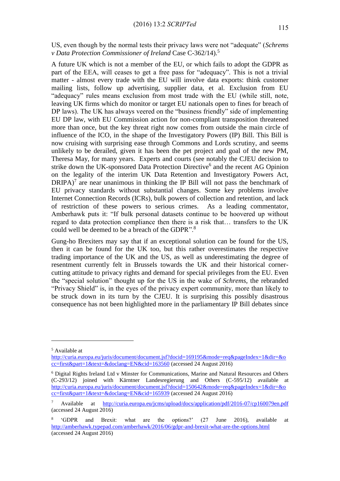US, even though by the normal tests their privacy laws were not "adequate" (*Schrems v Data Protection Commissioner of Ireland* Case C-362/14).<sup>5</sup>

A future UK which is not a member of the EU, or which fails to adopt the GDPR as part of the EEA, will ceases to get a free pass for "adequacy". This is not a trivial matter - almost every trade with the EU will involve data exports: think customer mailing lists, follow up advertising, supplier data, et al. Exclusion from EU "adequacy" rules means exclusion from most trade with the EU (while still, note, leaving UK firms which do monitor or target EU nationals open to fines for breach of DP laws). The UK has always veered on the "business friendly" side of implementing EU DP law, with EU Commission action for non-compliant transposition threatened more than once, but the key threat right now comes from outside the main circle of influence of the ICO, in the shape of the Investigatory Powers (IP) Bill. This Bill is now cruising with surprising ease through Commons and Lords scrutiny, and seems unlikely to be derailed, given it has been the pet project and goal of the new PM, Theresa May, for many years. Experts and courts (see notably the CJEU decision to strike down the UK-sponsored Data Protection Directive<sup>6</sup> and the recent AG Opinion on the legality of the interim UK Data Retention and Investigatory Powers Act,  $DRIPA$ )<sup>7</sup> are near unanimous in thinking the IP Bill will not pass the benchmark of EU privacy standards without substantial changes. Some key problems involve Internet Connection Records (ICRs), bulk powers of collection and retention, and lack of restriction of these powers to serious crimes. As a leading commentator, Amberhawk puts it: "If bulk personal datasets continue to be hoovered up without regard to data protection compliance then there is a risk that… transfers to the UK could well be deemed to be a breach of the GDPR".<sup>8</sup>

Gung-ho Brexiters may say that if an exceptional solution can be found for the US, then it can be found for the UK too, but this rather overestimates the respective trading importance of the UK and the US, as well as underestimating the degree of resentment currently felt in Brussels towards the UK and their historical cornercutting attitude to privacy rights and demand for special privileges from the EU. Even the "special solution" thought up for the US in the wake of *Schrems*, the rebranded "Privacy Shield" is, in the eyes of the privacy expert community, more than likely to be struck down in its turn by the CJEU. It is surprising this possibly disastrous consequence has not been highlighted more in the parliamentary IP Bill debates since

<u>.</u>

<sup>5</sup> Available at

[http://curia.europa.eu/juris/document/document.jsf?docid=169195&mode=req&pageIndex=1&dir=&o](http://curia.europa.eu/juris/document/document.jsf?docid=169195&mode=req&pageIndex=1&dir=&occ=first&part=1&text=&doclang=EN&cid=163560) [cc=first&part=1&text=&doclang=EN&cid=163560](http://curia.europa.eu/juris/document/document.jsf?docid=169195&mode=req&pageIndex=1&dir=&occ=first&part=1&text=&doclang=EN&cid=163560) (accessed 24 August 2016)

<sup>6</sup> Digital Rights Ireland Ltd v Minster for Communications, Marine and Natural Resources and Others (C-293/12) joined with Kärntner Landesregierung and Others (C-595/12) available at [http://curia.europa.eu/juris/document/document.jsf?docid=150642&mode=req&pageIndex=1&dir=&o](http://curia.europa.eu/juris/document/document.jsf?docid=150642&mode=req&pageIndex=1&dir=&occ=first&part=1&text=&doclang=EN&cid=165939) [cc=first&part=1&text=&doclang=EN&cid=165939](http://curia.europa.eu/juris/document/document.jsf?docid=150642&mode=req&pageIndex=1&dir=&occ=first&part=1&text=&doclang=EN&cid=165939) (accessed 24 August 2016)

<sup>7</sup> Available at <http://curia.europa.eu/jcms/upload/docs/application/pdf/2016-07/cp160079en.pdf> (accessed 24 August 2016)

<sup>8</sup> 'GDPR and Brexit: what are the options?' (27 June 2016), available at <http://amberhawk.typepad.com/amberhawk/2016/06/gdpr-and-brexit-what-are-the-options.html> (accessed 24 August 2016)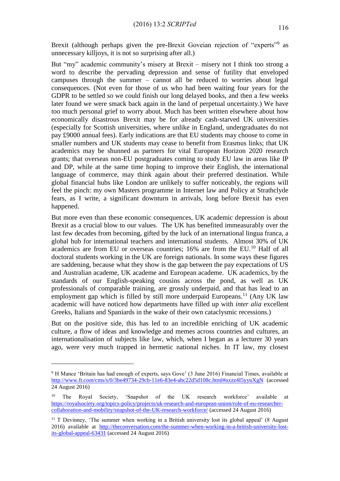Brexit (although perhaps given the pre-Brexit Goveian rejection of "experts"<sup>9</sup> as unnecessary killjoys, it is not so surprising after all.)

But "my" academic community's misery at Brexit – misery not I think too strong a word to describe the pervading depression and sense of futility that enveloped campuses through the summer – cannot all be reduced to worries about legal consequences. (Not even for those of us who had been waiting four years for the GDPR to be settled so we could finish our long delayed books, and then a few weeks later found we were smack back again in the land of perpetual uncertainty.) We have too much personal grief to worry about. Much has been written elsewhere about how economically disastrous Brexit may be for already cash-starved UK universities (especially for Scottish universities, where unlike in England, undergraduates do not pay £9000 annual fees). Early indications are that EU students may choose to come in smaller numbers and UK students may cease to benefit from Erasmus links; that UK academics may be shunned as partners for vital European Horizon 2020 research grants; that overseas non-EU postgraduates coming to study EU law in areas like IP and DP, while at the same time hoping to improve their English, the international language of commerce, may think again about their preferred destination. While global financial hubs like London are unlikely to suffer noticeably, the regions will feel the pinch: my own Masters programme in Internet law and Policy at Strathclyde fears, as I write, a significant downturn in arrivals, long before Brexit has even happened.

But more even than these economic consequences, UK academic depression is about Brexit as a crucial blow to our values. The UK has benefited immeasurably over the last few decades from becoming, gifted by the luck of an international lingua franca, a global hub for international teachers and international students. Almost 30% of UK academics are from EU or overseas countries; 16% are from the EU.<sup>10</sup> Half of all doctoral students working in the UK are foreign nationals. In some ways these figures are saddening, because what they show is the gap between the pay expectations of US and Australian academe, UK academe and European academe. UK academics, by the standards of our English-speaking cousins across the pond, as well as UK professionals of comparable training, are grossly underpaid, and that has lead to an employment gap which is filled by still more underpaid Europeans.<sup>11</sup> (Any UK law academic will have noticed how departments have filled up with *inter alia* excellent Greeks, Italians and Spaniards in the wake of their own cataclysmic recessions.)

But on the positive side, this has led to an incredible enriching of UK academic culture, a flow of ideas and knowledge and memes across countries and cultures, an internationalisation of subjects like law, which, when I began as a lecturer 30 years ago, were very much trapped in hermetic national niches. In IT law, my closest

<u>.</u>

<sup>&</sup>lt;sup>9</sup> H Mance 'Britain has had enough of experts, says Gove' (3 June 2016) Financial Times, available at <http://www.ft.com/cms/s/0/3be49734-29cb-11e6-83e4-abc22d5d108c.html#axzz4I5yyuXgN> (accessed 24 August 2016)

<sup>&</sup>lt;sup>10</sup> The Royal Society, 'Snapshot of the UK research workforce' available at [https://royalsociety.org/topics-policy/projects/uk-research-and-european-union/role-of-eu-researcher](https://royalsociety.org/topics-policy/projects/uk-research-and-european-union/role-of-eu-researcher-collaboration-and-mobility/snapshot-of-the-UK-research-workforce/)[collaboration-and-mobility/snapshot-of-the-UK-research-workforce/](https://royalsociety.org/topics-policy/projects/uk-research-and-european-union/role-of-eu-researcher-collaboration-and-mobility/snapshot-of-the-UK-research-workforce/) (accessed 24 August 2016)

<sup>&</sup>lt;sup>11</sup> T Devinney, 'The summer when working in a British university lost its global appeal' (8 August 2016) available at [http://theconversation.com/the-summer-when-working-in-a-british-university-lost](http://theconversation.com/the-summer-when-working-in-a-british-university-lost-its-global-appeal-63431)[its-global-appeal-63431](http://theconversation.com/the-summer-when-working-in-a-british-university-lost-its-global-appeal-63431) (accessed 24 August 2016)